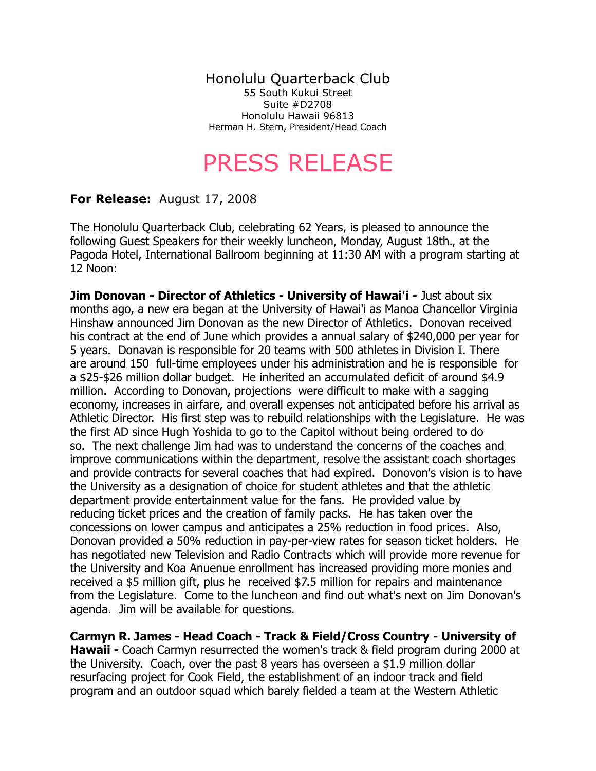Honolulu Quarterback Club 55 South Kukui Street Suite #D2708 Honolulu Hawaii 96813

Herman H. Stern, President/Head Coach

## PRESS RELEASE

## **For Release:** August 17, 2008

The Honolulu Quarterback Club, celebrating 62 Years, is pleased to announce the following Guest Speakers for their weekly luncheon, Monday, August 18th., at the Pagoda Hotel, International Ballroom beginning at 11:30 AM with a program starting at 12 Noon:

**Jim Donovan - Director of Athletics - University of Hawai'i -** Just about six months ago, a new era began at the University of Hawai'i as Manoa Chancellor Virginia Hinshaw announced Jim Donovan as the new Director of Athletics. Donovan received his contract at the end of June which provides a annual salary of \$240,000 per year for 5 years. Donavan is responsible for 20 teams with 500 athletes in Division I. There are around 150 full-time employees under his administration and he is responsible for a \$25-\$26 million dollar budget. He inherited an accumulated deficit of around \$4.9 million. According to Donovan, projections were difficult to make with a sagging economy, increases in airfare, and overall expenses not anticipated before his arrival as Athletic Director. His first step was to rebuild relationships with the Legislature. He was the first AD since Hugh Yoshida to go to the Capitol without being ordered to do so. The next challenge Jim had was to understand the concerns of the coaches and improve communications within the department, resolve the assistant coach shortages and provide contracts for several coaches that had expired. Donovon's vision is to have the University as a designation of choice for student athletes and that the athletic department provide entertainment value for the fans. He provided value by reducing ticket prices and the creation of family packs. He has taken over the concessions on lower campus and anticipates a 25% reduction in food prices. Also, Donovan provided a 50% reduction in pay-per-view rates for season ticket holders. He has negotiated new Television and Radio Contracts which will provide more revenue for the University and Koa Anuenue enrollment has increased providing more monies and received a \$5 million gift, plus he received \$7.5 million for repairs and maintenance from the Legislature. Come to the luncheon and find out what's next on Jim Donovan's agenda. Jim will be available for questions.

**Carmyn R. James - Head Coach - Track & Field/Cross Country - University of Hawaii -** Coach Carmyn resurrected the women's track & field program during 2000 at the University. Coach, over the past 8 years has overseen a \$1.9 million dollar resurfacing project for Cook Field, the establishment of an indoor track and field program and an outdoor squad which barely fielded a team at the Western Athletic